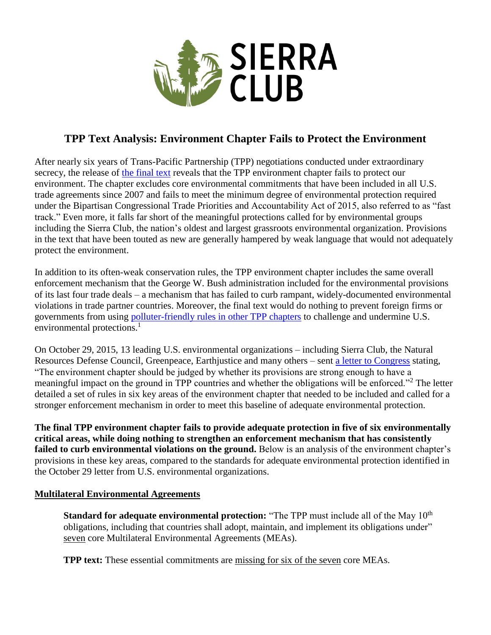

# **TPP Text Analysis: Environment Chapter Fails to Protect the Environment**

After nearly six years of Trans-Pacific Partnership (TPP) negotiations conducted under extraordinary secrecy, the release of [the final text](http://www.mfat.govt.nz/Treaties-and-International-Law/01-Treaties-for-which-NZ-is-Depositary/0-Trans-Pacific-Partnership-Text.php) reveals that the TPP environment chapter fails to protect our environment. The chapter excludes core environmental commitments that have been included in all U.S. trade agreements since 2007 and fails to meet the minimum degree of environmental protection required under the Bipartisan Congressional Trade Priorities and Accountability Act of 2015, also referred to as "fast track." Even more, it falls far short of the meaningful protections called for by environmental groups including the Sierra Club, the nation's oldest and largest grassroots environmental organization. Provisions in the text that have been touted as new are generally hampered by weak language that would not adequately protect the environment.

In addition to its often-weak conservation rules, the TPP environment chapter includes the same overall enforcement mechanism that the George W. Bush administration included for the environmental provisions of its last four trade deals – a mechanism that has failed to curb rampant, widely-documented environmental violations in trade partner countries. Moreover, the final text would do nothing to prevent foreign firms or governments from using [polluter-friendly rules in other TPP chapters](https://www.sierraclub.org/sites/www.sierraclub.org/files/uploads-wysiwig/Investor-State-Climate-FINAL.pdf) to challenge and undermine U.S. environmental protections. $<sup>1</sup>$ </sup>

On October 29, 2015, 13 leading U.S. environmental organizations – including Sierra Club, the Natural Resources Defense Council, Greenpeace, Earthjustice and many others – sent [a letter to Congress](https://www.sierraclub.org/sites/www.sierraclub.org/files/uploads-wysiwig/tpp%20letter%20final_0.pdf) stating, "The environment chapter should be judged by whether its provisions are strong enough to have a meaningful impact on the ground in TPP countries and whether the obligations will be enforced."<sup>2</sup> The letter detailed a set of rules in six key areas of the environment chapter that needed to be included and called for a stronger enforcement mechanism in order to meet this baseline of adequate environmental protection.

**The final TPP environment chapter fails to provide adequate protection in five of six environmentally critical areas, while doing nothing to strengthen an enforcement mechanism that has consistently failed to curb environmental violations on the ground.** Below is an analysis of the environment chapter's provisions in these key areas, compared to the standards for adequate environmental protection identified in the October 29 letter from U.S. environmental organizations.

# **Multilateral Environmental Agreements**

**Standard for adequate environmental protection:** "The TPP must include all of the May 10<sup>th</sup> obligations, including that countries shall adopt, maintain, and implement its obligations under" seven core Multilateral Environmental Agreements (MEAs).

**TPP text:** These essential commitments are missing for six of the seven core MEAs.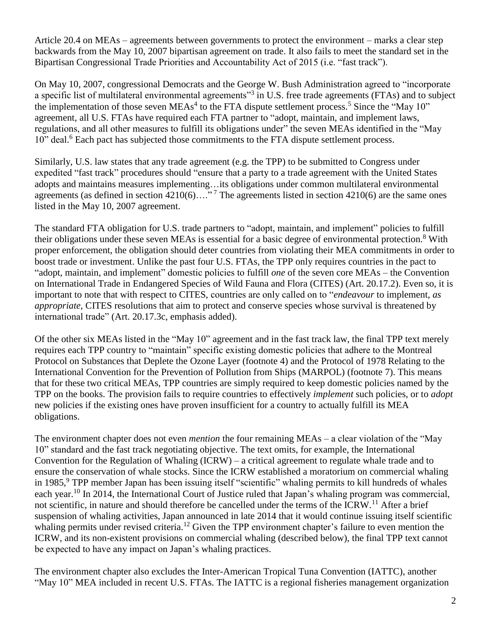Article 20.4 on MEAs – agreements between governments to protect the environment – marks a clear step backwards from the May 10, 2007 bipartisan agreement on trade. It also fails to meet the standard set in the Bipartisan Congressional Trade Priorities and Accountability Act of 2015 (i.e. "fast track").

On May 10, 2007, congressional Democrats and the George W. Bush Administration agreed to "incorporate a specific list of multilateral environmental agreements"<sup>3</sup> in U.S. free trade agreements (FTAs) and to subject the implementation of those seven MEAs<sup>4</sup> to the FTA dispute settlement process.<sup>5</sup> Since the "May 10" agreement, all U.S. FTAs have required each FTA partner to "adopt, maintain, and implement laws, regulations, and all other measures to fulfill its obligations under" the seven MEAs identified in the "May 10" deal.<sup>6</sup> Each pact has subjected those commitments to the FTA dispute settlement process.

Similarly, U.S. law states that any trade agreement (e.g. the TPP) to be submitted to Congress under expedited "fast track" procedures should "ensure that a party to a trade agreement with the United States adopts and maintains measures implementing…its obligations under common multilateral environmental agreements (as defined in section  $4210(6)$ …."<sup>7</sup> The agreements listed in section  $4210(6)$  are the same ones listed in the May 10, 2007 agreement.

The standard FTA obligation for U.S. trade partners to "adopt, maintain, and implement" policies to fulfill their obligations under these seven MEAs is essential for a basic degree of environmental protection.<sup>8</sup> With proper enforcement, the obligation should deter countries from violating their MEA commitments in order to boost trade or investment. Unlike the past four U.S. FTAs, the TPP only requires countries in the pact to "adopt, maintain, and implement" domestic policies to fulfill *one* of the seven core MEAs – the Convention on International Trade in Endangered Species of Wild Fauna and Flora (CITES) (Art. 20.17.2). Even so, it is important to note that with respect to CITES, countries are only called on to "*endeavour* to implement, *as appropriate*, CITES resolutions that aim to protect and conserve species whose survival is threatened by international trade" (Art. 20.17.3c, emphasis added).

Of the other six MEAs listed in the "May 10" agreement and in the fast track law, the final TPP text merely requires each TPP country to "maintain" specific existing domestic policies that adhere to the Montreal Protocol on Substances that Deplete the Ozone Layer (footnote 4) and the Protocol of 1978 Relating to the International Convention for the Prevention of Pollution from Ships (MARPOL) (footnote 7). This means that for these two critical MEAs, TPP countries are simply required to keep domestic policies named by the TPP on the books. The provision fails to require countries to effectively *implement* such policies, or to *adopt* new policies if the existing ones have proven insufficient for a country to actually fulfill its MEA obligations.

The environment chapter does not even *mention* the four remaining MEAs – a clear violation of the "May 10" standard and the fast track negotiating objective. The text omits, for example, the International Convention for the Regulation of Whaling (ICRW) – a critical agreement to regulate whale trade and to ensure the conservation of whale stocks. Since the ICRW established a moratorium on commercial whaling in 1985,<sup>9</sup> TPP member Japan has been issuing itself "scientific" whaling permits to kill hundreds of whales each year.<sup>10</sup> In 2014, the International Court of Justice ruled that Japan's whaling program was commercial, not scientific, in nature and should therefore be cancelled under the terms of the ICRW.<sup>11</sup> After a brief suspension of whaling activities, Japan announced in late 2014 that it would continue issuing itself scientific whaling permits under revised criteria.<sup>12</sup> Given the TPP environment chapter's failure to even mention the ICRW, and its non-existent provisions on commercial whaling (described below), the final TPP text cannot be expected to have any impact on Japan's whaling practices.

The environment chapter also excludes the Inter-American Tropical Tuna Convention (IATTC), another "May 10" MEA included in recent U.S. FTAs. The IATTC is a regional fisheries management organization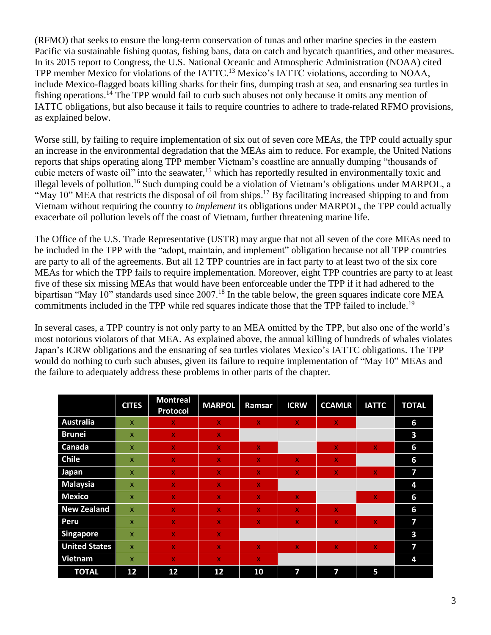(RFMO) that seeks to ensure the long-term conservation of tunas and other marine species in the eastern Pacific via sustainable fishing quotas, fishing bans, data on catch and bycatch quantities, and other measures. In its 2015 report to Congress, the U.S. National Oceanic and Atmospheric Administration (NOAA) cited TPP member Mexico for violations of the IATTC.<sup>13</sup> Mexico's IATTC violations, according to NOAA, include Mexico-flagged boats killing sharks for their fins, dumping trash at sea, and ensnaring sea turtles in fishing operations.<sup>14</sup> The TPP would fail to curb such abuses not only because it omits any mention of IATTC obligations, but also because it fails to require countries to adhere to trade-related RFMO provisions, as explained below.

Worse still, by failing to require implementation of six out of seven core MEAs, the TPP could actually spur an increase in the environmental degradation that the MEAs aim to reduce. For example, the United Nations reports that ships operating along TPP member Vietnam's coastline are annually dumping "thousands of cubic meters of waste oil" into the seawater,<sup>15</sup> which has reportedly resulted in environmentally toxic and illegal levels of pollution.<sup>16</sup> Such dumping could be a violation of Vietnam's obligations under MARPOL, a "May 10" MEA that restricts the disposal of oil from ships.<sup>17</sup> By facilitating increased shipping to and from Vietnam without requiring the country to *implement* its obligations under MARPOL, the TPP could actually exacerbate oil pollution levels off the coast of Vietnam, further threatening marine life.

The Office of the U.S. Trade Representative (USTR) may argue that not all seven of the core MEAs need to be included in the TPP with the "adopt, maintain, and implement" obligation because not all TPP countries are party to all of the agreements. But all 12 TPP countries are in fact party to at least two of the six core MEAs for which the TPP fails to require implementation. Moreover, eight TPP countries are party to at least five of these six missing MEAs that would have been enforceable under the TPP if it had adhered to the bipartisan "May 10" standards used since 2007.<sup>18</sup> In the table below, the green squares indicate core MEA commitments included in the TPP while red squares indicate those that the TPP failed to include.<sup>19</sup>

In several cases, a TPP country is not only party to an MEA omitted by the TPP, but also one of the world's most notorious violators of that MEA. As explained above, the annual killing of hundreds of whales violates Japan's ICRW obligations and the ensnaring of sea turtles violates Mexico's IATTC obligations. The TPP would do nothing to curb such abuses, given its failure to require implementation of "May 10" MEAs and the failure to adequately address these problems in other parts of the chapter.

|                      | <b>CITES</b>              | <b>Montreal</b><br>Protocol | <b>MARPOL</b> | Ramsar       | <b>ICRW</b>             | <b>CCAMLR</b>           | <b>IATTC</b> | <b>TOTAL</b> |
|----------------------|---------------------------|-----------------------------|---------------|--------------|-------------------------|-------------------------|--------------|--------------|
| <b>Australia</b>     | $\mathsf{x}$              | $\mathbf{x}$                | $\mathbf x$   | X.           | $\mathbf{x}$            | $\mathbf{x}$            |              | 6            |
| <b>Brunei</b>        | $\mathbf{x}$              | $\mathbf{x}$                | $\mathbf{x}$  |              |                         |                         |              | 3            |
| Canada               | $\mathsf{x}$              | $\mathbf{x}$                | $\mathbf{x}$  | $\mathbf{x}$ |                         | $\mathbf{x}$            | $\mathbf{x}$ | 6            |
| <b>Chile</b>         | $\mathbf x$               | $\mathbf{x}$                | $\mathbf x$   | X.           | $\mathbf{x}$            | $\mathbf x$             |              | 6            |
| <b>Japan</b>         | $\mathsf{x}$              | X.                          | $\mathbf x$   | X.           | x                       | $\mathbf x$             | $\mathbf{x}$ | 7            |
| <b>Malaysia</b>      | $\mathsf{x}$              | $\mathbf x$                 | X             | X.           |                         |                         |              | 4            |
| <b>Mexico</b>        | $\boldsymbol{\mathsf{x}}$ | X.                          | X             | X.           | $\mathbf{X}$            |                         | x            | 6            |
| <b>New Zealand</b>   | $\mathbf x$               | $\mathbf x$                 | X             | X.           | $\mathbf{x}$            | D.                      |              | 6            |
| Peru                 | $\mathsf{x}$              | $\mathbf{x}$                | $\mathbf x$   | $\mathbf{x}$ | $\mathsf{X}$            | $\mathbf{x}$            | $\mathbf{x}$ | 7            |
| <b>Singapore</b>     | $\mathsf{x}$              | $\mathbf{x}$                | $\mathbf{X}$  |              |                         |                         |              | 3            |
| <b>United States</b> | $\mathbf{x}$              | $\mathbf{x}$                | $\mathbf x$   | X.           | $\mathbf x$             | $\mathbf{x}$            | $\mathbf{x}$ | 7            |
| <b>Vietnam</b>       | $\mathsf{x}$              | $\mathbf{x}$                | $\mathbf x$   | X            |                         |                         |              | 4            |
| <b>TOTAL</b>         | 12                        | 12                          | 12            | 10           | $\overline{\mathbf{z}}$ | $\overline{\mathbf{z}}$ | 5            |              |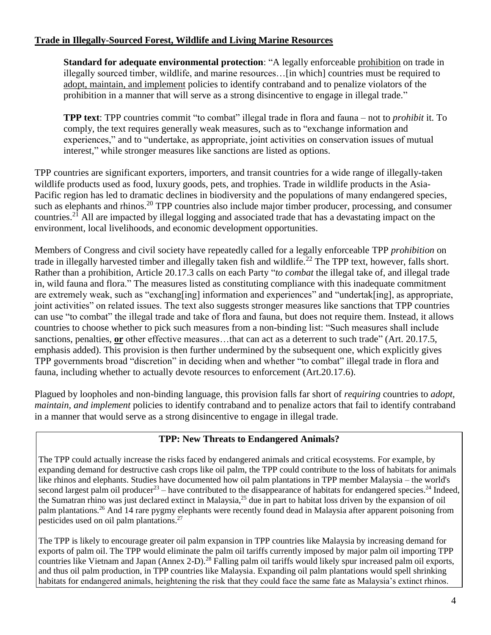# **Trade in Illegally-Sourced Forest, Wildlife and Living Marine Resources**

**Standard for adequate environmental protection**: "A legally enforceable prohibition on trade in illegally sourced timber, wildlife, and marine resources…[in which] countries must be required to adopt, maintain, and implement policies to identify contraband and to penalize violators of the prohibition in a manner that will serve as a strong disincentive to engage in illegal trade."

**TPP text**: TPP countries commit "to combat" illegal trade in flora and fauna – not to *prohibit* it. To comply, the text requires generally weak measures, such as to "exchange information and experiences," and to "undertake, as appropriate, joint activities on conservation issues of mutual interest," while stronger measures like sanctions are listed as options.

TPP countries are significant exporters, importers, and transit countries for a wide range of illegally-taken wildlife products used as food, luxury goods, pets, and trophies. Trade in wildlife products in the Asia-Pacific region has led to dramatic declines in biodiversity and the populations of many endangered species, such as elephants and rhinos.<sup>20</sup> TPP countries also include major timber producer, processing, and consumer countries. <sup>21</sup> All are impacted by illegal logging and associated trade that has a devastating impact on the environment, local livelihoods, and economic development opportunities.

Members of Congress and civil society have repeatedly called for a legally enforceable TPP *prohibition* on trade in illegally harvested timber and illegally taken fish and wildlife.<sup>22</sup> The TPP text, however, falls short. Rather than a prohibition, Article 20.17.3 calls on each Party "*to combat* the illegal take of, and illegal trade in, wild fauna and flora." The measures listed as constituting compliance with this inadequate commitment are extremely weak, such as "exchang[ing] information and experiences" and "undertak[ing], as appropriate, joint activities" on related issues. The text also suggests stronger measures like sanctions that TPP countries can use "to combat" the illegal trade and take of flora and fauna, but does not require them. Instead, it allows countries to choose whether to pick such measures from a non-binding list: "Such measures shall include sanctions, penalties, **or** other effective measures…that can act as a deterrent to such trade" (Art. 20.17.5, emphasis added). This provision is then further undermined by the subsequent one, which explicitly gives TPP governments broad "discretion" in deciding when and whether "to combat" illegal trade in flora and fauna, including whether to actually devote resources to enforcement (Art.20.17.6).

Plagued by loopholes and non-binding language, this provision falls far short of *requiring* countries to *adopt, maintain, and implement* policies to identify contraband and to penalize actors that fail to identify contraband in a manner that would serve as a strong disincentive to engage in illegal trade.

# **TPP: New Threats to Endangered Animals?**

The TPP could actually increase the risks faced by endangered animals and critical ecosystems. For example, by expanding demand for destructive cash crops like oil palm, the TPP could contribute to the loss of habitats for animals like rhinos and elephants. Studies have documented how oil palm plantations in TPP member Malaysia – the world's second largest palm oil producer<sup>23</sup> – have contributed to the disappearance of habitats for endangered species.<sup>24</sup> Indeed, the Sumatran rhino was just declared extinct in Malaysia,<sup>25</sup> due in part to habitat loss driven by the expansion of oil palm plantations.<sup>26</sup> And 14 rare pygmy elephants were recently found dead in Malaysia after apparent poisoning from pesticides used on oil palm plantations.<sup>27</sup>

The TPP is likely to encourage greater oil palm expansion in TPP countries like Malaysia by increasing demand for exports of palm oil. The TPP would eliminate the palm oil tariffs currently imposed by major palm oil importing TPP countries like Vietnam and Japan (Annex 2-D).<sup>28</sup> Falling palm oil tariffs would likely spur increased palm oil exports, and thus oil palm production, in TPP countries like Malaysia. Expanding oil palm plantations would spell shrinking habitats for endangered animals, heightening the risk that they could face the same fate as Malaysia's extinct rhinos.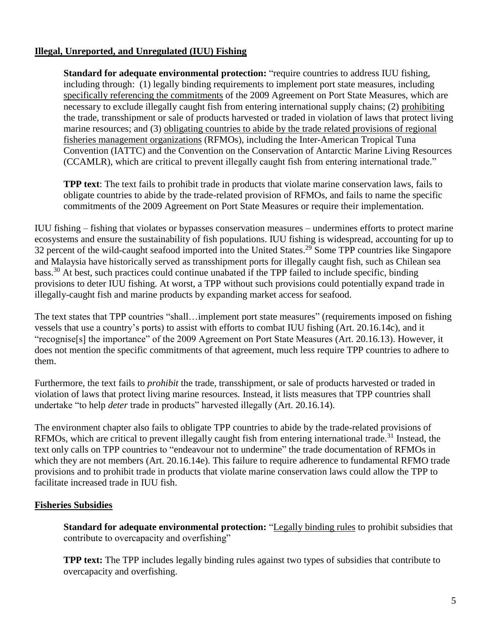# **Illegal, Unreported, and Unregulated (IUU) Fishing**

**Standard for adequate environmental protection:** "require countries to address IUU fishing, including through: (1) legally binding requirements to implement port state measures, including specifically referencing the commitments of the 2009 Agreement on Port State Measures, which are necessary to exclude illegally caught fish from entering international supply chains; (2) prohibiting the trade, transshipment or sale of products harvested or traded in violation of laws that protect living marine resources; and (3) obligating countries to abide by the trade related provisions of regional fisheries management organizations (RFMOs), including the Inter-American Tropical Tuna Convention (IATTC) and the Convention on the Conservation of Antarctic Marine Living Resources (CCAMLR), which are critical to prevent illegally caught fish from entering international trade."

**TPP text**: The text fails to prohibit trade in products that violate marine conservation laws, fails to obligate countries to abide by the trade-related provision of RFMOs, and fails to name the specific commitments of the 2009 Agreement on Port State Measures or require their implementation.

IUU fishing – fishing that violates or bypasses conservation measures – undermines efforts to protect marine ecosystems and ensure the sustainability of fish populations. IUU fishing is widespread, accounting for up to 32 percent of the wild-caught seafood imported into the United States.<sup>29</sup> Some TPP countries like Singapore and Malaysia have historically served as transshipment ports for illegally caught fish, such as Chilean sea bass.<sup>30</sup> At best, such practices could continue unabated if the TPP failed to include specific, binding provisions to deter IUU fishing. At worst, a TPP without such provisions could potentially expand trade in illegally-caught fish and marine products by expanding market access for seafood.

The text states that TPP countries "shall…implement port state measures" (requirements imposed on fishing vessels that use a country's ports) to assist with efforts to combat IUU fishing (Art. 20.16.14c), and it "recognise[s] the importance" of the 2009 Agreement on Port State Measures (Art. 20.16.13). However, it does not mention the specific commitments of that agreement, much less require TPP countries to adhere to them.

Furthermore, the text fails to *prohibit* the trade, transshipment, or sale of products harvested or traded in violation of laws that protect living marine resources*.* Instead, it lists measures that TPP countries shall undertake "to help *deter* trade in products" harvested illegally (Art. 20.16.14).

The environment chapter also fails to obligate TPP countries to abide by the trade-related provisions of RFMOs, which are critical to prevent illegally caught fish from entering international trade.<sup>31</sup> Instead, the text only calls on TPP countries to "endeavour not to undermine" the trade documentation of RFMOs in which they are not members (Art. 20.16.14e). This failure to require adherence to fundamental RFMO trade provisions and to prohibit trade in products that violate marine conservation laws could allow the TPP to facilitate increased trade in IUU fish.

# **Fisheries Subsidies**

**Standard for adequate environmental protection:** "Legally binding rules to prohibit subsidies that contribute to overcapacity and overfishing"

**TPP text:** The TPP includes legally binding rules against two types of subsidies that contribute to overcapacity and overfishing.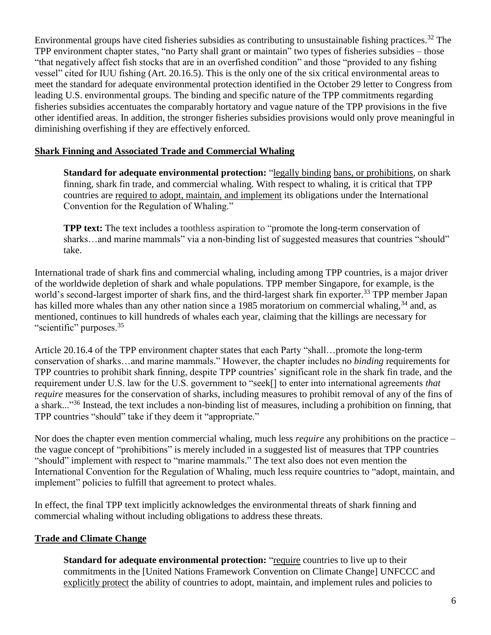Environmental groups have cited fisheries subsidies as contributing to unsustainable fishing practices.<sup>32</sup> The TPP environment chapter states, "no Party shall grant or maintain" two types of fisheries subsidies – those "that negatively affect fish stocks that are in an overfished condition" and those "provided to any fishing vessel" cited for IUU fishing (Art. 20.16.5). This is the only one of the six critical environmental areas to meet the standard for adequate environmental protection identified in the October 29 letter to Congress from leading U.S. environmental groups. The binding and specific nature of the TPP commitments regarding fisheries subsidies accentuates the comparably hortatory and vague nature of the TPP provisions in the five other identified areas. In addition, the stronger fisheries subsidies provisions would only prove meaningful in diminishing overfishing if they are effectively enforced.

#### **Shark Finning and Associated Trade and Commercial Whaling**

**Standard for adequate environmental protection:** "legally binding bans, or prohibitions, on shark finning, shark fin trade, and commercial whaling. With respect to whaling, it is critical that TPP countries are required to adopt, maintain, and implement its obligations under the International Convention for the Regulation of Whaling."

**TPP text:** The text includes a toothless aspiration to "promote the long-term conservation of sharks...and marine mammals" via a non-binding list of suggested measures that countries "should" take.

International trade of shark fins and commercial whaling, including among TPP countries, is a major driver of the worldwide depletion of shark and whale populations. TPP member Singapore, for example, is the world's second-largest importer of shark fins, and the third-largest shark fin exporter.<sup>33</sup> TPP member Japan has killed more whales than any other nation since a 1985 moratorium on commercial whaling,<sup>34</sup> and, as mentioned, continues to kill hundreds of whales each year, claiming that the killings are necessary for "scientific" purposes.<sup>35</sup>

Article 20.16.4 of the TPP environment chapter states that each Party "shall…promote the long-term conservation of sharks…and marine mammals." However, the chapter includes no *binding* requirements for TPP countries to prohibit shark finning, despite TPP countries' significant role in the shark fin trade, and the requirement under U.S. law for the U.S. government to "seek[] to enter into international agreements *that require* measures for the conservation of sharks, including measures to prohibit removal of any of the fins of a shark..."<sup>36</sup> Instead, the text includes a non-binding list of measures, including a prohibition on finning, that TPP countries "should" take if they deem it "appropriate."

Nor does the chapter even mention commercial whaling, much less *require* any prohibitions on the practice – the vague concept of "prohibitions" is merely included in a suggested list of measures that TPP countries "should" implement with respect to "marine mammals." The text also does not even mention the International Convention for the Regulation of Whaling, much less require countries to "adopt, maintain, and implement" policies to fulfill that agreement to protect whales.

In effect, the final TPP text implicitly acknowledges the environmental threats of shark finning and commercial whaling without including obligations to address these threats.

# **Trade and Climate Change**

**Standard for adequate environmental protection:** "require countries to live up to their commitments in the [United Nations Framework Convention on Climate Change] UNFCCC and explicitly protect the ability of countries to adopt, maintain, and implement rules and policies to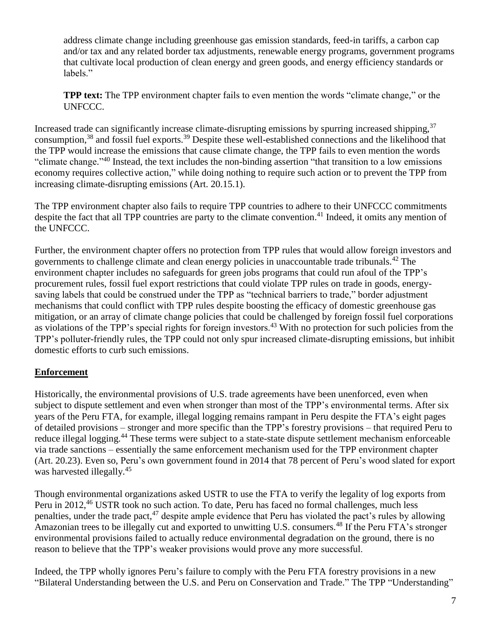address climate change including greenhouse gas emission standards, feed-in tariffs, a carbon cap and/or tax and any related border tax adjustments, renewable energy programs, government programs that cultivate local production of clean energy and green goods, and energy efficiency standards or labels."

**TPP text:** The TPP environment chapter fails to even mention the words "climate change," or the UNFCCC.

Increased trade can significantly increase climate-disrupting emissions by spurring increased shipping,<sup>37</sup> consumption,<sup>38</sup> and fossil fuel exports.<sup>39</sup> Despite these well-established connections and the likelihood that the TPP would increase the emissions that cause climate change, the TPP fails to even mention the words "climate change."<sup>40</sup> Instead, the text includes the non-binding assertion "that transition to a low emissions" economy requires collective action," while doing nothing to require such action or to prevent the TPP from increasing climate-disrupting emissions (Art. 20.15.1).

The TPP environment chapter also fails to require TPP countries to adhere to their UNFCCC commitments despite the fact that all TPP countries are party to the climate convention.<sup>41</sup> Indeed, it omits any mention of the UNFCCC.

Further, the environment chapter offers no protection from TPP rules that would allow foreign investors and governments to challenge climate and clean energy policies in unaccountable trade tribunals.<sup>42</sup> The environment chapter includes no safeguards for green jobs programs that could run afoul of the TPP's procurement rules, fossil fuel export restrictions that could violate TPP rules on trade in goods, energysaving labels that could be construed under the TPP as "technical barriers to trade," border adjustment mechanisms that could conflict with TPP rules despite boosting the efficacy of domestic greenhouse gas mitigation, or an array of climate change policies that could be challenged by foreign fossil fuel corporations as violations of the TPP's special rights for foreign investors.<sup>43</sup> With no protection for such policies from the TPP's polluter-friendly rules, the TPP could not only spur increased climate-disrupting emissions, but inhibit domestic efforts to curb such emissions.

# **Enforcement**

Historically, the environmental provisions of U.S. trade agreements have been unenforced, even when subject to dispute settlement and even when stronger than most of the TPP's environmental terms. After six years of the Peru FTA, for example, illegal logging remains rampant in Peru despite the FTA's eight pages of detailed provisions – stronger and more specific than the TPP's forestry provisions – that required Peru to reduce illegal logging.<sup>44</sup> These terms were subject to a state-state dispute settlement mechanism enforceable via trade sanctions – essentially the same enforcement mechanism used for the TPP environment chapter (Art. 20.23). Even so, Peru's own government found in 2014 that 78 percent of Peru's wood slated for export was harvested illegally.<sup>45</sup>

Though environmental organizations asked USTR to use the FTA to verify the legality of log exports from Peru in 2012,<sup>46</sup> USTR took no such action. To date, Peru has faced no formal challenges, much less penalties, under the trade pact,  $47$  despite ample evidence that Peru has violated the pact's rules by allowing Amazonian trees to be illegally cut and exported to unwitting U.S. consumers.<sup>48</sup> If the Peru FTA's stronger environmental provisions failed to actually reduce environmental degradation on the ground, there is no reason to believe that the TPP's weaker provisions would prove any more successful.

Indeed, the TPP wholly ignores Peru's failure to comply with the Peru FTA forestry provisions in a new "Bilateral Understanding between the U.S. and Peru on Conservation and Trade." The TPP "Understanding"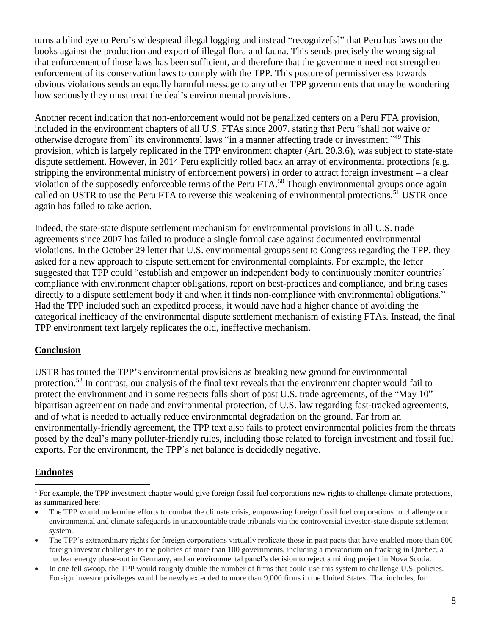turns a blind eye to Peru's widespread illegal logging and instead "recognize[s]" that Peru has laws on the books against the production and export of illegal flora and fauna. This sends precisely the wrong signal – that enforcement of those laws has been sufficient, and therefore that the government need not strengthen enforcement of its conservation laws to comply with the TPP. This posture of permissiveness towards obvious violations sends an equally harmful message to any other TPP governments that may be wondering how seriously they must treat the deal's environmental provisions.

Another recent indication that non-enforcement would not be penalized centers on a Peru FTA provision, included in the environment chapters of all U.S. FTAs since 2007, stating that Peru "shall not waive or otherwise derogate from" its environmental laws "in a manner affecting trade or investment."<sup>49</sup> This provision, which is largely replicated in the TPP environment chapter (Art. 20.3.6), was subject to state-state dispute settlement. However, in 2014 Peru explicitly rolled back an array of environmental protections (e.g. stripping the environmental ministry of enforcement powers) in order to attract foreign investment – a clear violation of the supposedly enforceable terms of the Peru FTA.<sup>50</sup> Though environmental groups once again called on USTR to use the Peru FTA to reverse this weakening of environmental protections,<sup>51</sup> USTR once again has failed to take action.

Indeed, the state-state dispute settlement mechanism for environmental provisions in all U.S. trade agreements since 2007 has failed to produce a single formal case against documented environmental violations. In the October 29 letter that U.S. environmental groups sent to Congress regarding the TPP, they asked for a new approach to dispute settlement for environmental complaints. For example, the letter suggested that TPP could "establish and empower an independent body to continuously monitor countries' compliance with environment chapter obligations, report on best-practices and compliance, and bring cases directly to a dispute settlement body if and when it finds non-compliance with environmental obligations." Had the TPP included such an expedited process, it would have had a higher chance of avoiding the categorical inefficacy of the environmental dispute settlement mechanism of existing FTAs. Instead, the final TPP environment text largely replicates the old, ineffective mechanism.

# **Conclusion**

USTR has touted the TPP's environmental provisions as breaking new ground for environmental protection.<sup>52</sup> In contrast, our analysis of the final text reveals that the environment chapter would fail to protect the environment and in some respects falls short of past U.S. trade agreements, of the "May 10" bipartisan agreement on trade and environmental protection, of U.S. law regarding fast-tracked agreements, and of what is needed to actually reduce environmental degradation on the ground. Far from an environmentally-friendly agreement, the TPP text also fails to protect environmental policies from the threats posed by the deal's many polluter-friendly rules, including those related to foreign investment and fossil fuel exports. For the environment, the TPP's net balance is decidedly negative.

# **Endnotes**

l

<sup>&</sup>lt;sup>1</sup> For example, the TPP investment chapter would give foreign fossil fuel corporations new rights to challenge climate protections, as summarized here:

The TPP would undermine efforts to combat the climate crisis, empowering foreign fossil fuel corporations to challenge our environmental and climate safeguards in unaccountable trade tribunals via the controversial investor-state dispute settlement system.

<sup>•</sup> The TPP's extraordinary rights for foreign corporations virtually replicate those in past pacts that have enabled more than 600 foreign investor challenges to the policies of more than 100 governments, including a moratorium on fracking in Quebec, a nuclear energy phase-out in Germany, and an environmental panel's decision to reject a mining project in Nova Scotia.

<sup>•</sup> In one fell swoop, the TPP would roughly double the number of firms that could use this system to challenge U.S. policies. Foreign investor privileges would be newly extended to more than 9,000 firms in the United States. That includes, for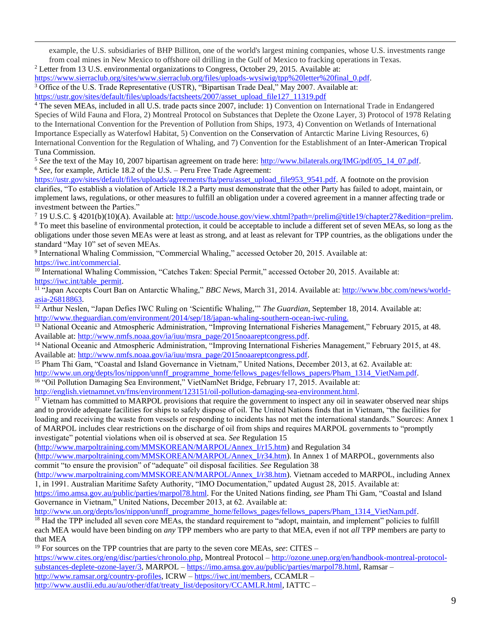example, the U.S. subsidiaries of BHP Billiton, one of the world's largest mining companies, whose U.S. investments range from coal mines in New Mexico to offshore oil drilling in the Gulf of Mexico to fracking operations in Texas.

<sup>2</sup> Letter from 13 U.S. environmental organizations to Congress, October 29, 2015. Available at:

 $\overline{a}$ 

[https://www.sierraclub.org/sites/www.sierraclub.org/files/uploads-wysiwig/tpp%20letter%20final\\_0.pdf.](https://www.sierraclub.org/sites/www.sierraclub.org/files/uploads-wysiwig/tpp%20letter%20final_0.pdf) <sup>3</sup> Office of the U.S. Trade Representative (USTR), "Bipartisan Trade Deal," May 2007. Available at: [https://ustr.gov/sites/default/files/uploads/factsheets/2007/asset\\_upload\\_file127\\_11319.pdf](https://ustr.gov/sites/default/files/uploads/factsheets/2007/asset_upload_file127_11319.pdf)

<sup>4</sup> The seven MEAs, included in all U.S. trade pacts since 2007, include: 1) Convention on International Trade in Endangered Species of Wild Fauna and Flora, 2) Montreal Protocol on Substances that Deplete the Ozone Layer, 3) Protocol of 1978 Relating to the International Convention for the Prevention of Pollution from Ships, 1973, 4) Convention on Wetlands of International Importance Especially as Waterfowl Habitat, 5) Convention on the Conservation of Antarctic Marine Living Resources, 6) International Convention for the Regulation of Whaling, and 7) Convention for the Establishment of an Inter-American Tropical Tuna Commission.

<sup>5</sup> See the text of the May 10, 2007 bipartisan agreement on trade here: [http://www.bilaterals.org/IMG/pdf/05\\_14\\_07.pdf.](http://www.bilaterals.org/IMG/pdf/05_14_07.pdf) <sup>6</sup> *See*, for example, Article 18.2 of the U.S. – Peru Free Trade Agreement:

[https://ustr.gov/sites/default/files/uploads/agreements/fta/peru/asset\\_upload\\_file953\\_9541.pdf.](https://ustr.gov/sites/default/files/uploads/agreements/fta/peru/asset_upload_file953_9541.pdf) A footnote on the provision clarifies, "To establish a violation of Article 18.2 a Party must demonstrate that the other Party has failed to adopt, maintain, or implement laws, regulations, or other measures to fulfill an obligation under a covered agreement in a manner affecting trade or investment between the Parties."

<sup>7</sup> 19 U.S.C. § 4201(b)(10)(A). Available at: [http://uscode.house.gov/view.xhtml?path=/prelim@title19/chapter27&edition=prelim.](http://uscode.house.gov/view.xhtml?path=/prelim@title19/chapter27&edition=prelim)

<sup>8</sup> To meet this baseline of environmental protection, it could be acceptable to include a different set of seven MEAs, so long as the obligations under those seven MEAs were at least as strong, and at least as relevant for TPP countries, as the obligations under the standard "May 10" set of seven MEAs.

9 International Whaling Commission, "Commercial Whaling," accessed October 20, 2015. Available at: [https://iwc.int/commercial.](https://iwc.int/commercial) 

<sup>10</sup> International Whaling Commission, "Catches Taken: Special Permit," accessed October 20, 2015. Available at: [https://iwc.int/table\\_permit.](https://iwc.int/table_permit)

<sup>11 "</sup>Japan Accepts Court Ban on Antarctic Whaling," *BBC News*, March 31, 2014. Available at: [http://www.bbc.com/news/world](http://www.bbc.com/news/world-asia-26818863)[asia-26818863.](http://www.bbc.com/news/world-asia-26818863)

<sup>12</sup> Arthur Neslen, "Japan Defies IWC Ruling on 'Scientific Whaling,'" *The Guardian*, September 18, 2014. Available at: [http://www.theguardian.com/environment/2014/sep/18/japan-whaling-southern-ocean-iwc-ruling.](http://www.theguardian.com/environment/2014/sep/18/japan-whaling-southern-ocean-iwc-ruling)

<sup>13</sup> National Oceanic and Atmospheric Administration, "Improving International Fisheries Management," February 2015, at 48. Available at: [http://www.nmfs.noaa.gov/ia/iuu/msra\\_page/2015noaareptcongress.pdf.](http://www.nmfs.noaa.gov/ia/iuu/msra_page/2015noaareptcongress.pdf)

<sup>14</sup> National Oceanic and Atmospheric Administration, "Improving International Fisheries Management," February 2015, at 48. Available at: [http://www.nmfs.noaa.gov/ia/iuu/msra\\_page/2015noaareptcongress.pdf.](http://www.nmfs.noaa.gov/ia/iuu/msra_page/2015noaareptcongress.pdf)

<sup>15</sup> Pham Thi Gam, "Coastal and Island Governance in Vietnam," United Nations, December 2013, at 62. Available at: [http://www.un.org/depts/los/nippon/unnff\\_programme\\_home/fellows\\_pages/fellows\\_papers/Pham\\_1314\\_VietNam.pdf.](http://www.un.org/depts/los/nippon/unnff_programme_home/fellows_pages/fellows_papers/Pham_1314_VietNam.pdf) <sup>16</sup> "Oil Pollution Damaging Sea Environment," VietNamNet Bridge, February 17, 2015. Available at:

[http://english.vietnamnet.vn/fms/environment/123151/oil-pollution-damaging-sea-environment.html.](http://english.vietnamnet.vn/fms/environment/123151/oil-pollution-damaging-sea-environment.html)

<sup>17</sup> Vietnam has committed to MARPOL provisions that require the government to inspect any oil in seawater observed near ships and to provide adequate facilities for ships to safely dispose of oil. The United Nations finds that in Vietnam, "the facilities for loading and receiving the waste from vessels or responding to incidents has not met the international standards." Sources: Annex 1 of MARPOL includes clear restrictions on the discharge of oil from ships and requires MARPOL governments to "promptly investigate" potential violations when oil is observed at sea. *See* Regulation 15

[\(http://www.marpoltraining.com/MMSKOREAN/MARPOL/Annex\\_I/r15.htm\)](http://www.marpoltraining.com/MMSKOREAN/MARPOL/Annex_I/r15.htm) and Regulation 34

[\(http://www.marpoltraining.com/MMSKOREAN/MARPOL/Annex\\_I/r34.htm\)](http://www.marpoltraining.com/MMSKOREAN/MARPOL/Annex_I/r34.htm). In Annex 1 of MARPOL, governments also commit "to ensure the provision" of "adequate" oil disposal facilities. *See* Regulation 38

[\(http://www.marpoltraining.com/MMSKOREAN/MARPOL/Annex\\_I/r38.htm\)](http://www.marpoltraining.com/MMSKOREAN/MARPOL/Annex_I/r38.htm). Vietnam acceded to MARPOL, including Annex 1, in 1991. Australian Maritime Safety Authority, "IMO Documentation," updated August 28, 2015. Available at:

[https://imo.amsa.gov.au/public/parties/marpol78.html.](https://imo.amsa.gov.au/public/parties/marpol78.html) For the United Nations finding, *see* Pham Thi Gam, "Coastal and Island Governance in Vietnam," United Nations, December 2013, at 62. Available at:

[http://www.un.org/depts/los/nippon/unnff\\_programme\\_home/fellows\\_pages/fellows\\_papers/Pham\\_1314\\_VietNam.pdf.](http://www.un.org/depts/los/nippon/unnff_programme_home/fellows_pages/fellows_papers/Pham_1314_VietNam.pdf)

<sup>18</sup> Had the TPP included all seven core MEAs, the standard requirement to "adopt, maintain, and implement" policies to fulfill each MEA would have been binding on *any* TPP members who are party to that MEA, even if not *all* TPP members are party to that MEA

<sup>19</sup> For sources on the TPP countries that are party to the seven core MEAs, *see*: CITES –

[https://www.cites.org/eng/disc/parties/chronolo.php,](https://www.cites.org/eng/disc/parties/chronolo.php) Montreal Protocol – [http://ozone.unep.org/en/handbook-montreal-protocol](http://ozone.unep.org/en/handbook-montreal-protocol-substances-deplete-ozone-layer/3)[substances-deplete-ozone-layer/3,](http://ozone.unep.org/en/handbook-montreal-protocol-substances-deplete-ozone-layer/3) MARPOL – [https://imo.amsa.gov.au/public/parties/marpol78.html,](https://imo.amsa.gov.au/public/parties/marpol78.html) Ramsar – [http://www.ramsar.org/country-profiles,](http://www.ramsar.org/country-profiles) ICRW – [https://iwc.int/members,](https://iwc.int/members) CCAMLR –

[http://www.austlii.edu.au/au/other/dfat/treaty\\_list/depository/CCAMLR.html,](http://www.austlii.edu.au/au/other/dfat/treaty_list/depository/CCAMLR.html) IATTC –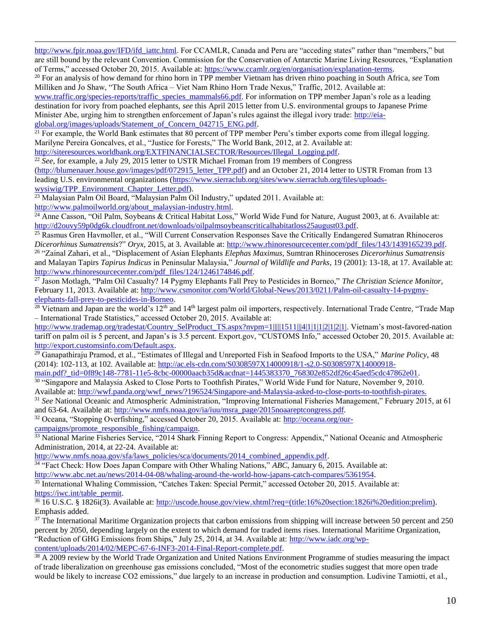[http://www.fpir.noaa.gov/IFD/ifd\\_iattc.html.](http://www.fpir.noaa.gov/IFD/ifd_iattc.html) For CCAMLR, Canada and Peru are "acceding states" rather than "members," but are still bound by the relevant Convention. Commission for the Conservation of Antarctic Marine Living Resources, "Explanation of Terms," accessed October 20, 2015. Available at: [https://www.ccamlr.org/en/organisation/explanation-terms.](https://www.ccamlr.org/en/organisation/explanation-terms) 

<sup>20</sup> For an analysis of how demand for rhino horn in TPP member Vietnam has driven rhino poaching in South Africa, *see* Tom Milliken and Jo Shaw, "The South Africa – Viet Nam Rhino Horn Trade Nexus," Traffic, 2012. Available at:

[www.traffic.org/species-reports/traffic\\_species\\_mammals66.pdf.](http://www.traffic.org/species-reports/traffic_species_mammals66.pdf) For information on TPP member Japan's role as a leading destination for ivory from poached elephants, *see* this April 2015 letter from U.S. environmental groups to Japanese Prime Minister Abe, urging him to strengthen enforcement of Japan's rules against the illegal ivory trade: [http://eia](http://eia-global.org/images/uploads/Statement_of_Concern_042715_ENG.pdf)[global.org/images/uploads/Statement\\_of\\_Concern\\_042715\\_ENG.pdf.](http://eia-global.org/images/uploads/Statement_of_Concern_042715_ENG.pdf) 

 $21$  For example, the World Bank estimates that 80 percent of TPP member Peru's timber exports come from illegal logging. Marilyne Pereira Goncalves, et al., "Justice for Forests," The World Bank, 2012, at 2. Available at: [http://siteresources.worldbank.org/EXTFINANCIALSECTOR/Resources/Illegal\\_Logging.pdf.](http://siteresources.worldbank.org/EXTFINANCIALSECTOR/Resources/Illegal_Logging.pdf)

<sup>22</sup> *See*, for example, a July 29, 2015 letter to USTR Michael Froman from 19 members of Congress

[\(http://blumenauer.house.gov/images/pdf/072915\\_letter\\_TPP.pdf\)](http://blumenauer.house.gov/images/pdf/072915_letter_TPP.pdf) and an October 21, 2014 letter to USTR Froman from 13 leading U.S. environmental organizations [\(https://www.sierraclub.org/sites/www.sierraclub.org/files/uploads](https://www.sierraclub.org/sites/www.sierraclub.org/files/uploads-wysiwig/TPP_Environment_Chapter_Letter.pdf)[wysiwig/TPP\\_Environment\\_Chapter\\_Letter.pdf\)](https://www.sierraclub.org/sites/www.sierraclub.org/files/uploads-wysiwig/TPP_Environment_Chapter_Letter.pdf).

<sup>23</sup> Malaysian Palm Oil Board, "Malaysian Palm Oil Industry," updated 2011. Available at: [http://www.palmoilworld.org/about\\_malaysian-industry.html.](http://www.palmoilworld.org/about_malaysian-industry.html)

 $\overline{a}$ 

 $^{24}$  Anne Casson, "Oil Palm, Soybeans & Critical Habitat Loss," World Wide Fund for Nature, August 2003, at 6. Available at: [http://d2ouvy59p0dg6k.cloudfront.net/downloads/oilpalmsoybeanscriticalhabitatloss25august03.pdf.](http://d2ouvy59p0dg6k.cloudfront.net/downloads/oilpalmsoybeanscriticalhabitatloss25august03.pdf)

<sup>25</sup> Rasmus Gren Havmoller, et al., "Will Current Conservation Responses Save the Critically Endangered Sumatran Rhinoceros *Dicerorhinus Sumatrensis*?" *Oryx*, 2015, at 3. Available at: [http://www.rhinoresourcecenter.com/pdf\\_files/143/1439165239.pdf.](http://www.rhinoresourcecenter.com/pdf_files/143/1439165239.pdf) <sup>26</sup> "Zainal Zahari, et al., "Displacement of Asian Elephants *Elephas Maximus*, Sumtran Rhinoceroses *Dicerorhinus Sumatrensis* and Malayan Tapirs *Tapirus Indicus* in Peninsular Malaysia," *Journal of Wildlife and Parks*, 19 (2001): 13-18, at 17. Available at: [http://www.rhinoresourcecenter.com/pdf\\_files/124/1246174846.pdf.](http://www.rhinoresourcecenter.com/pdf_files/124/1246174846.pdf)

<sup>27</sup> Jason Motlagh, "Palm Oil Casualty? 14 Pygmy Elephants Fall Prey to Pesticides in Borneo," *The Christian Science Monitor*, February 11, 2013. Available at[: http://www.csmonitor.com/World/Global-News/2013/0211/Palm-oil-casualty-14-pygmy](http://www.csmonitor.com/World/Global-News/2013/0211/Palm-oil-casualty-14-pygmy-elephants-fall-prey-to-pesticides-in-Borneo)[elephants-fall-prey-to-pesticides-in-Borneo.](http://www.csmonitor.com/World/Global-News/2013/0211/Palm-oil-casualty-14-pygmy-elephants-fall-prey-to-pesticides-in-Borneo)

 $^{28}$  Vietnam and Japan are the world's 12<sup>th</sup> and 14<sup>th</sup> largest palm oil importers, respectively. International Trade Centre, "Trade Map – International Trade Statistics," accessed October 20, 2015. Available at:

[http://www.trademap.org/tradestat/Country\\_SelProduct\\_TS.aspx?nvpm=1|||||1511|||4|1|1|1|2|1|2|1|.](http://www.trademap.org/tradestat/Country_SelProduct_TS.aspx?nvpm=1|||||1511|||4|1|1|1|2|1|2|1|) Vietnam's most-favored-nation tariff on palm oil is 5 percent, and Japan's is 3.5 percent. Export.gov, "CUSTOMS Info," accessed October 20, 2015. Available at: [http://export.customsinfo.com/Default.aspx.](http://export.customsinfo.com/Default.aspx) 

<sup>29</sup> Ganapathiraju Pramod, et al., "Estimates of Illegal and Unreported Fish in Seafood Imports to the USA," *Marine Policy*, 48 (2014): 102-113, at 102. Available at: [http://ac.els-cdn.com/S0308597X14000918/1-s2.0-S0308597X14000918-](http://ac.els-cdn.com/S0308597X14000918/1-s2.0-S0308597X14000918-main.pdf?_tid=0f89c148-7781-11e5-8cbc-00000aacb35d&acdnat=1445383370_768302e852df26c45aed5cdc47862e01)

[main.pdf?\\_tid=0f89c148-7781-11e5-8cbc-00000aacb35d&acdnat=1445383370\\_768302e852df26c45aed5cdc47862e01.](http://ac.els-cdn.com/S0308597X14000918/1-s2.0-S0308597X14000918-main.pdf?_tid=0f89c148-7781-11e5-8cbc-00000aacb35d&acdnat=1445383370_768302e852df26c45aed5cdc47862e01)

<sup>30</sup> "Singapore and Malaysia Asked to Close Ports to Toothfish Pirates," World Wide Fund for Nature, November 9, 2010. Available at: [http://wwf.panda.org/wwf\\_news/?196524/Singapore-and-Malaysia-asked-to-close-ports-to-toothfish-pirates.](http://wwf.panda.org/wwf_news/?196524/Singapore-and-Malaysia-asked-to-close-ports-to-toothfish-pirates)

<sup>31</sup> *See* National Oceanic and Atmospheric Administration, "Improving International Fisheries Management," February 2015, at 61 and 63-64. Available at: [http://www.nmfs.noaa.gov/ia/iuu/msra\\_page/2015noaareptcongress.pdf.](http://www.nmfs.noaa.gov/ia/iuu/msra_page/2015noaareptcongress.pdf)

<sup>32</sup> Oceana, "Stopping Overfishing," accessed October 20, 2015. Available at: [http://oceana.org/our](http://oceana.org/our-campaigns/promote_responsible_fishing/campaign)[campaigns/promote\\_responsible\\_fishing/campaign.](http://oceana.org/our-campaigns/promote_responsible_fishing/campaign)

<sup>33</sup> National Marine Fisheries Service, "2014 Shark Finning Report to Congress: Appendix," National Oceanic and Atmospheric Administration, 2014, at 22-24. Available at:

[http://www.nmfs.noaa.gov/sfa/laws\\_policies/sca/documents/2014\\_combined\\_appendix.pdf.](http://www.nmfs.noaa.gov/sfa/laws_policies/sca/documents/2014_combined_appendix.pdf)

<sup>34</sup> "Fact Check: How Does Japan Compare with Other Whaling Nations," *ABC*, January 6, 2015. Available at: [http://www.abc.net.au/news/2014-04-08/whaling-around-the-world-how-japans-catch-compares/5361954.](http://www.abc.net.au/news/2014-04-08/whaling-around-the-world-how-japans-catch-compares/5361954)

<sup>35</sup> International Whaling Commission, "Catches Taken: Special Permit," accessed October 20, 2015. Available at: [https://iwc.int/table\\_permit.](https://iwc.int/table_permit)

<sup>36</sup> 16 U.S.C. § 1826i(3). Available at: [http://uscode.house.gov/view.xhtml?req=\(title:16%20section:1826i%20edition:prelim\).](http://uscode.house.gov/view.xhtml?req=(title:16%20section:1826i%20edition:prelim)) Emphasis added.

 $37$  The International Maritime Organization projects that carbon emissions from shipping will increase between 50 percent and 250 percent by 2050, depending largely on the extent to which demand for traded items rises. International Maritime Organization, "Reduction of GHG Emissions from Ships," July 25, 2014, at 34. Available at: [http://www.iadc.org/wp](http://www.iadc.org/wp-content/uploads/2014/02/MEPC-67-6-INF3-2014-Final-Report-complete.pdf)[content/uploads/2014/02/MEPC-67-6-INF3-2014-Final-Report-complete.pdf.](http://www.iadc.org/wp-content/uploads/2014/02/MEPC-67-6-INF3-2014-Final-Report-complete.pdf)

<sup>38</sup> A 2009 review by the World Trade Organization and United Nations Environment Programme of studies measuring the impact of trade liberalization on greenhouse gas emissions concluded, "Most of the econometric studies suggest that more open trade would be likely to increase CO2 emissions," due largely to an increase in production and consumption. Ludivine Tamiotti, et al.,